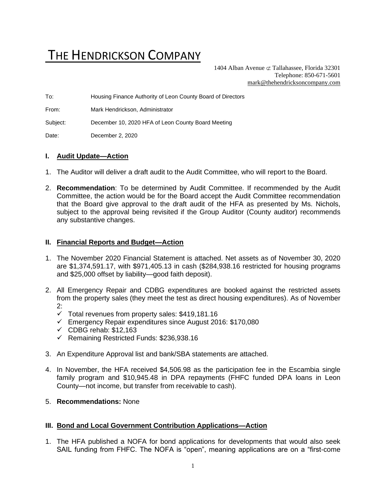# THE HENDRICKSON COMPANY

1404 Alban Avenue  $\sigma$  Tallahassee, Florida 32301 Telephone: 850-671-5601 [mark@thehendricksoncompany.com](mailto:mark@thehendricksoncompany.com)

To: Housing Finance Authority of Leon County Board of Directors

From: Mark Hendrickson, Administrator

Subject: December 10, 2020 HFA of Leon County Board Meeting

Date: December 2, 2020

#### **I. Audit Update—Action**

- 1. The Auditor will deliver a draft audit to the Audit Committee, who will report to the Board.
- 2. **Recommendation**: To be determined by Audit Committee. If recommended by the Audit Committee, the action would be for the Board accept the Audit Committee recommendation that the Board give approval to the draft audit of the HFA as presented by Ms. Nichols, subject to the approval being revisited if the Group Auditor (County auditor) recommends any substantive changes.

#### **II. Financial Reports and Budget—Action**

- 1. The November 2020 Financial Statement is attached. Net assets as of November 30, 2020 are \$1,374,591.17, with \$971,405.13 in cash (\$284,938.16 restricted for housing programs and \$25,000 offset by liability—good faith deposit).
- 2. All Emergency Repair and CDBG expenditures are booked against the restricted assets from the property sales (they meet the test as direct housing expenditures). As of November 2:
	- $\checkmark$  Total revenues from property sales: \$419,181.16
	- ✓ Emergency Repair expenditures since August 2016: \$170,080
	- $\checkmark$  CDBG rehab: \$12,163
	- ✓ Remaining Restricted Funds: \$236,938.16
- 3. An Expenditure Approval list and bank/SBA statements are attached.
- 4. In November, the HFA received \$4,506.98 as the participation fee in the Escambia single family program and \$10,945.48 in DPA repayments (FHFC funded DPA loans in Leon County—not income, but transfer from receivable to cash).
- 5. **Recommendations:** None

#### **III. Bond and Local Government Contribution Applications—Action**

1. The HFA published a NOFA for bond applications for developments that would also seek SAIL funding from FHFC. The NOFA is "open", meaning applications are on a "first-come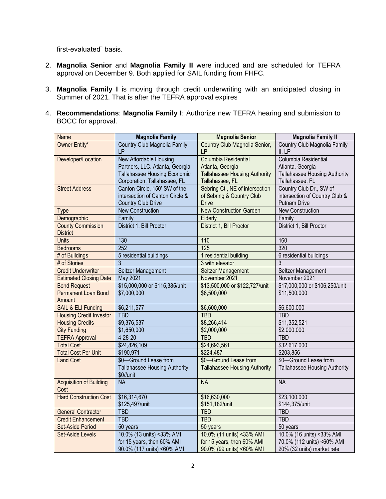first-evaluated" basis.

- 2. **Magnolia Senior** and **Magnolia Family II** were induced and are scheduled for TEFRA approval on December 9. Both applied for SAIL funding from FHFC.
- 3. **Magnolia Family I** is moving through credit underwriting with an anticipated closing in Summer of 2021. That is after the TEFRA approval expires
- 4. **Recommendations**: **Magnolia Family I**: Authorize new TEFRA hearing and submission to BOCC for approval.

| Name                           | <b>Magnolia Family</b>                            | <b>Magnolia Senior</b>               | <b>Magnolia Family II</b>            |  |
|--------------------------------|---------------------------------------------------|--------------------------------------|--------------------------------------|--|
| Owner Entity*                  | Country Club Magnolia Family,                     | Country Club Magnolia Senior,        | Country Club Magnolia Family         |  |
|                                | <b>LP</b>                                         | LP                                   | II, LP                               |  |
| Developer/Location             | New Affordable Housing                            | Columbia Residential                 | Columbia Residential                 |  |
|                                | Partners, LLC. Atlanta, Georgia                   | Atlanta, Georgia                     | Atlanta, Georgia                     |  |
|                                | Tallahassee Housing Economic                      | <b>Tallahassee Housing Authority</b> | <b>Tallahassee Housing Authority</b> |  |
|                                | Corporation, Tallahassee, FL                      | Tallahassee, FL                      | Tallahassee, FL                      |  |
| <b>Street Address</b>          | Canton Circle, 150' SW of the                     | Sebring Ct., NE of intersection      | Country Club Dr., SW of              |  |
|                                | intersection of Canton Circle &                   | of Sebring & Country Club            | intersection of Country Club &       |  |
|                                | <b>Country Club Drive</b>                         | <b>Drive</b>                         | <b>Putnam Drive</b>                  |  |
| <b>Type</b>                    | <b>New Construction</b>                           | <b>New Construction Garden</b>       | <b>New Construction</b>              |  |
| Demographic                    | Family                                            | Elderly                              | Family                               |  |
| <b>County Commission</b>       | District 1, Bill Proctor                          | District 1, Bill Proctor             | District 1, Bill Proctor             |  |
| <b>District</b>                |                                                   |                                      |                                      |  |
| <b>Units</b>                   | 130                                               | 110                                  | 160                                  |  |
| <b>Bedrooms</b>                | 252                                               | 125                                  | 320                                  |  |
| # of Buildings                 | 5 residential buildings                           | 1 residential building               | 6 residential buildings              |  |
| # of Stories                   | 3                                                 | 3 with elevator                      | $\overline{3}$                       |  |
| <b>Credit Underwriter</b>      | Seltzer Management                                | <b>Seltzer Management</b>            | Seltzer Management                   |  |
| <b>Estimated Closing Date</b>  | May 2021                                          | November 2021                        | November 2021                        |  |
| <b>Bond Request</b>            | \$15,000,000 or \$115,385/unit                    | \$13,500,000 or \$122,727/unit       | \$17,000,000 or \$106,250/unit       |  |
| Permanent Loan Bond            | \$7,000,000                                       | \$6,500,000                          | \$11,500,000                         |  |
| Amount                         |                                                   |                                      |                                      |  |
| <b>SAIL &amp; ELI Funding</b>  | \$6,211,577                                       | \$6,600,000                          | \$6,600,000                          |  |
| <b>Housing Credit Investor</b> | <b>TBD</b>                                        | <b>TBD</b>                           | <b>TBD</b>                           |  |
| <b>Housing Credits</b>         | \$9,376,537                                       | \$8,266,414                          | \$11,352,521                         |  |
| <b>City Funding</b>            | \$1,650,000                                       | \$2,000,000                          | \$2,000,000                          |  |
| <b>TEFRA Approval</b>          | 4-28-20                                           | <b>TBD</b>                           | <b>TBD</b>                           |  |
| <b>Total Cost</b>              | \$24,826,109                                      | \$24,693,561                         | \$32,617,000                         |  |
| <b>Total Cost Per Unit</b>     | \$190,971                                         | \$224,487                            | \$203,856                            |  |
| <b>Land Cost</b>               | \$0-Ground Lease from                             | \$0-Ground Lease from                | \$0-Ground Lease from                |  |
|                                | <b>Tallahassee Housing Authority</b><br>\$0//unit | <b>Tallahassee Housing Authority</b> | <b>Tallahassee Housing Authority</b> |  |
| <b>Acquisition of Building</b> | <b>NA</b>                                         | <b>NA</b>                            | <b>NA</b>                            |  |
| Cost                           |                                                   |                                      |                                      |  |
| <b>Hard Construction Cost</b>  | \$16,314,670                                      | \$16,630,000                         | \$23,100,000                         |  |
|                                | \$125,497/unit                                    | \$151,182/unit                       | \$144,375/unit                       |  |
| <b>General Contractor</b>      | <b>TBD</b>                                        | <b>TBD</b>                           | <b>TBD</b>                           |  |
| <b>Credit Enhancement</b>      | <b>TBD</b>                                        | <b>TBD</b>                           | <b>TBD</b>                           |  |
| Set-Aside Period               | 50 years                                          | 50 years                             | 50 years                             |  |
| <b>Set-Aside Levels</b>        | 10.0% (13 units) <33% AMI                         | 10.0% (11 units) <33% AMI            | 10.0% (16 units) <33% AMI            |  |
|                                | for 15 years, then 60% AMI                        | for 15 years, then 60% AMI           | 70.0% (112 units) <60% AMI           |  |
|                                | 90.0% (117 units) <60% AMI                        | 90.0% (99 units) <60% AMI            | 20% (32 units) market rate           |  |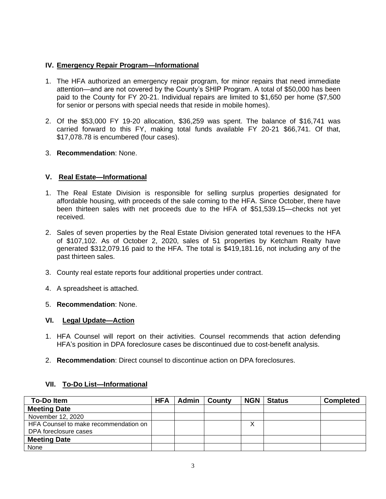## **IV. Emergency Repair Program—Informational**

- 1. The HFA authorized an emergency repair program, for minor repairs that need immediate attention—and are not covered by the County's SHIP Program. A total of \$50,000 has been paid to the County for FY 20-21. Individual repairs are limited to \$1,650 per home (\$7,500 for senior or persons with special needs that reside in mobile homes).
- 2. Of the \$53,000 FY 19-20 allocation, \$36,259 was spent. The balance of \$16,741 was carried forward to this FY, making total funds available FY 20-21 \$66,741. Of that, \$17,078.78 is encumbered (four cases).
- 3. **Recommendation**: None.

# **V. Real Estate—Informational**

- 1. The Real Estate Division is responsible for selling surplus properties designated for affordable housing, with proceeds of the sale coming to the HFA. Since October, there have been thirteen sales with net proceeds due to the HFA of \$51,539.15—checks not yet received.
- 2. Sales of seven properties by the Real Estate Division generated total revenues to the HFA of \$107,102. As of October 2, 2020, sales of 51 properties by Ketcham Realty have generated \$312,079.16 paid to the HFA. The total is \$419,181.16, not including any of the past thirteen sales.
- 3. County real estate reports four additional properties under contract.
- 4. A spreadsheet is attached.
- 5. **Recommendation**: None.

# **VI. Legal Update—Action**

- 1. HFA Counsel will report on their activities. Counsel recommends that action defending HFA's position in DPA foreclosure cases be discontinued due to cost-benefit analysis.
- 2. **Recommendation**: Direct counsel to discontinue action on DPA foreclosures.

### **VII. To-Do List—Informational**

| <b>To-Doltem</b>                      | <b>HFA</b> | Admin | <b>County</b> | <b>NGN</b> | <b>Status</b> | <b>Completed</b> |
|---------------------------------------|------------|-------|---------------|------------|---------------|------------------|
| <b>Meeting Date</b>                   |            |       |               |            |               |                  |
| November 12, 2020                     |            |       |               |            |               |                  |
| HFA Counsel to make recommendation on |            |       |               |            |               |                  |
| DPA foreclosure cases                 |            |       |               |            |               |                  |
| <b>Meeting Date</b>                   |            |       |               |            |               |                  |
| None                                  |            |       |               |            |               |                  |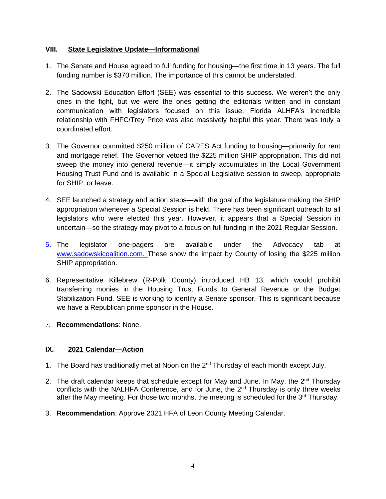## **VIII. State Legislative Update—Informational**

- 1. The Senate and House agreed to full funding for housing—the first time in 13 years. The full funding number is \$370 million. The importance of this cannot be understated.
- 2. The Sadowski Education Effort (SEE) was essential to this success. We weren't the only ones in the fight, but we were the ones getting the editorials written and in constant communication with legislators focused on this issue. Florida ALHFA's incredible relationship with FHFC/Trey Price was also massively helpful this year. There was truly a coordinated effort.
- 3. The Governor committed \$250 million of CARES Act funding to housing—primarily for rent and mortgage relief. The Governor vetoed the \$225 million SHIP appropriation. This did not sweep the money into general revenue—it simply accumulates in the Local Government Housing Trust Fund and is available in a Special Legislative session to sweep, appropriate for SHIP, or leave.
- 4. SEE launched a strategy and action steps—with the goal of the legislature making the SHIP appropriation whenever a Special Session is held. There has been significant outreach to all legislators who were elected this year. However, it appears that a Special Session in uncertain—so the strategy may pivot to a focus on full funding in the 2021 Regular Session.
- 5. The legislator one-pagers are available under the Advocacy tab at [www.sadowskicoalition.com.](http://www.sadowskicoalition.com/) These show the impact by County of losing the \$225 million SHIP appropriation.
- 6. Representative Killebrew (R-Polk County) introduced HB 13, which would prohibit transferring monies in the Housing Trust Funds to General Revenue or the Budget Stabilization Fund. SEE is working to identify a Senate sponsor. This is significant because we have a Republican prime sponsor in the House.
- 7. **Recommendations**: None.

# **IX. 2021 Calendar—Action**

- 1. The Board has traditionally met at Noon on the 2<sup>nd</sup> Thursday of each month except July.
- 2. The draft calendar keeps that schedule except for May and June. In May, the  $2^{nd}$  Thursday conflicts with the NALHFA Conference, and for June, the 2<sup>nd</sup> Thursday is only three weeks after the May meeting. For those two months, the meeting is scheduled for the 3<sup>rd</sup> Thursday.
- 3. **Recommendation**: Approve 2021 HFA of Leon County Meeting Calendar.